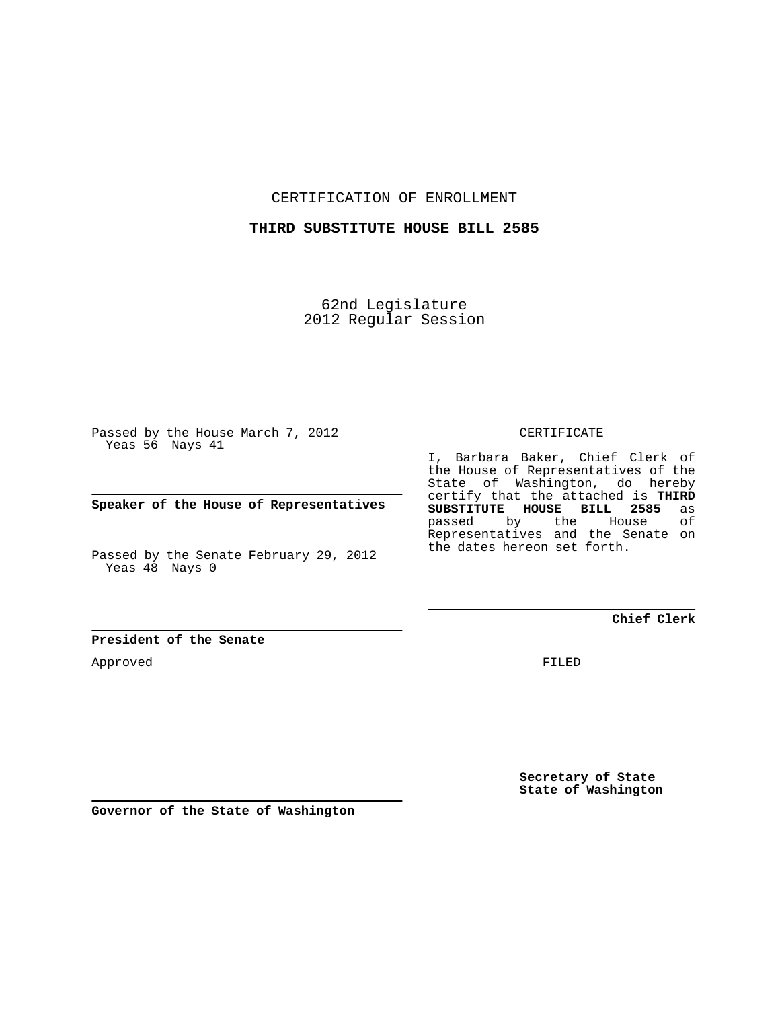CERTIFICATION OF ENROLLMENT

## **THIRD SUBSTITUTE HOUSE BILL 2585**

62nd Legislature 2012 Regular Session

Passed by the House March 7, 2012 Yeas 56 Nays 41

**Speaker of the House of Representatives**

Passed by the Senate February 29, 2012 Yeas 48 Nays 0

**President of the Senate**

Approved

CERTIFICATE

I, Barbara Baker, Chief Clerk of the House of Representatives of the State of Washington, do hereby certify that the attached is **THIRD SUBSTITUTE HOUSE BILL 2585** as **House** Representatives and the Senate on the dates hereon set forth.

**Chief Clerk**

FILED

**Secretary of State State of Washington**

**Governor of the State of Washington**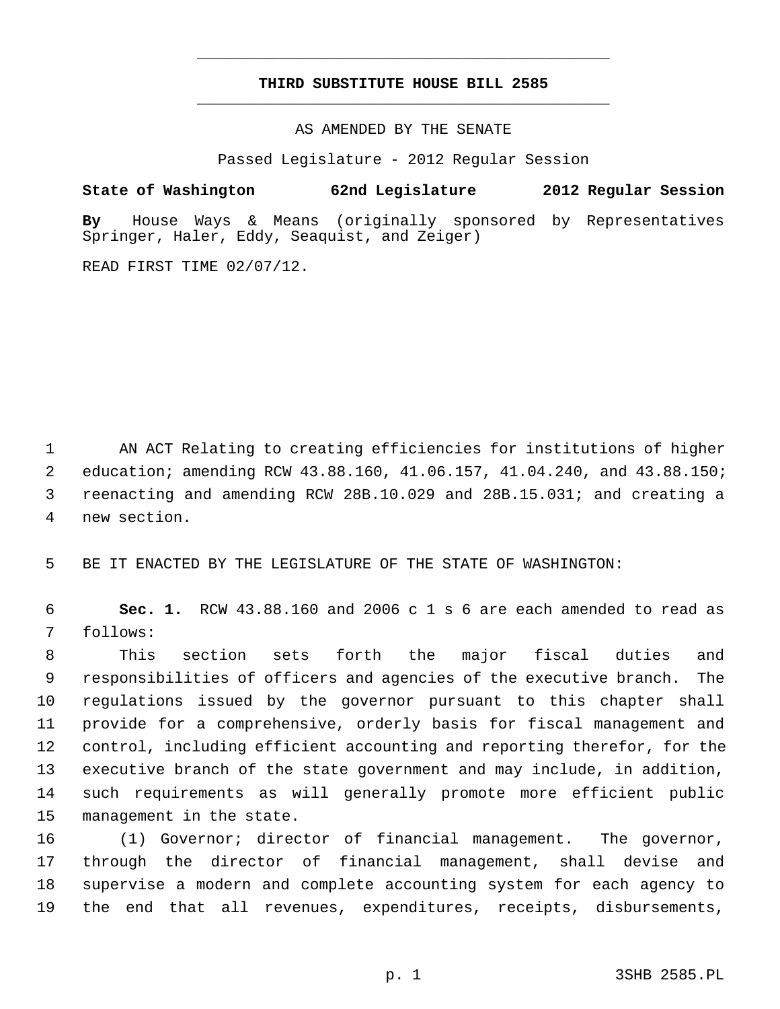## **THIRD SUBSTITUTE HOUSE BILL 2585** \_\_\_\_\_\_\_\_\_\_\_\_\_\_\_\_\_\_\_\_\_\_\_\_\_\_\_\_\_\_\_\_\_\_\_\_\_\_\_\_\_\_\_\_\_

\_\_\_\_\_\_\_\_\_\_\_\_\_\_\_\_\_\_\_\_\_\_\_\_\_\_\_\_\_\_\_\_\_\_\_\_\_\_\_\_\_\_\_\_\_

AS AMENDED BY THE SENATE

Passed Legislature - 2012 Regular Session

**State of Washington 62nd Legislature 2012 Regular Session**

**By** House Ways & Means (originally sponsored by Representatives Springer, Haler, Eddy, Seaquist, and Zeiger)

READ FIRST TIME 02/07/12.

 1 AN ACT Relating to creating efficiencies for institutions of higher 2 education; amending RCW 43.88.160, 41.06.157, 41.04.240, and 43.88.150; 3 reenacting and amending RCW 28B.10.029 and 28B.15.031; and creating a 4 new section.

5 BE IT ENACTED BY THE LEGISLATURE OF THE STATE OF WASHINGTON:

 6 **Sec. 1.** RCW 43.88.160 and 2006 c 1 s 6 are each amended to read as 7 follows:

 8 This section sets forth the major fiscal duties and 9 responsibilities of officers and agencies of the executive branch. The 10 regulations issued by the governor pursuant to this chapter shall 11 provide for a comprehensive, orderly basis for fiscal management and 12 control, including efficient accounting and reporting therefor, for the 13 executive branch of the state government and may include, in addition, 14 such requirements as will generally promote more efficient public 15 management in the state.

16 (1) Governor; director of financial management. The governor, 17 through the director of financial management, shall devise and 18 supervise a modern and complete accounting system for each agency to 19 the end that all revenues, expenditures, receipts, disbursements,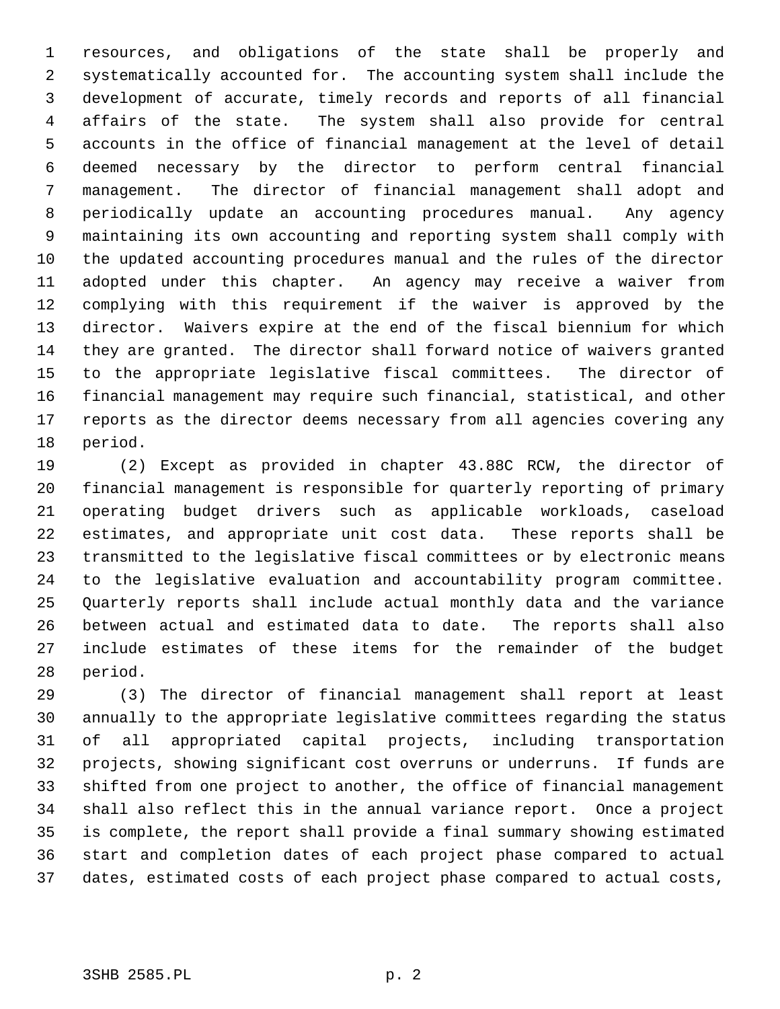1 resources, and obligations of the state shall be properly and 2 systematically accounted for. The accounting system shall include the 3 development of accurate, timely records and reports of all financial 4 affairs of the state. The system shall also provide for central 5 accounts in the office of financial management at the level of detail 6 deemed necessary by the director to perform central financial 7 management. The director of financial management shall adopt and 8 periodically update an accounting procedures manual. Any agency 9 maintaining its own accounting and reporting system shall comply with 10 the updated accounting procedures manual and the rules of the director 11 adopted under this chapter. An agency may receive a waiver from 12 complying with this requirement if the waiver is approved by the 13 director. Waivers expire at the end of the fiscal biennium for which 14 they are granted. The director shall forward notice of waivers granted 15 to the appropriate legislative fiscal committees. The director of 16 financial management may require such financial, statistical, and other 17 reports as the director deems necessary from all agencies covering any 18 period.

19 (2) Except as provided in chapter 43.88C RCW, the director of 20 financial management is responsible for quarterly reporting of primary 21 operating budget drivers such as applicable workloads, caseload 22 estimates, and appropriate unit cost data. These reports shall be 23 transmitted to the legislative fiscal committees or by electronic means 24 to the legislative evaluation and accountability program committee. 25 Quarterly reports shall include actual monthly data and the variance 26 between actual and estimated data to date. The reports shall also 27 include estimates of these items for the remainder of the budget 28 period.

29 (3) The director of financial management shall report at least 30 annually to the appropriate legislative committees regarding the status 31 of all appropriated capital projects, including transportation 32 projects, showing significant cost overruns or underruns. If funds are 33 shifted from one project to another, the office of financial management 34 shall also reflect this in the annual variance report. Once a project 35 is complete, the report shall provide a final summary showing estimated 36 start and completion dates of each project phase compared to actual 37 dates, estimated costs of each project phase compared to actual costs,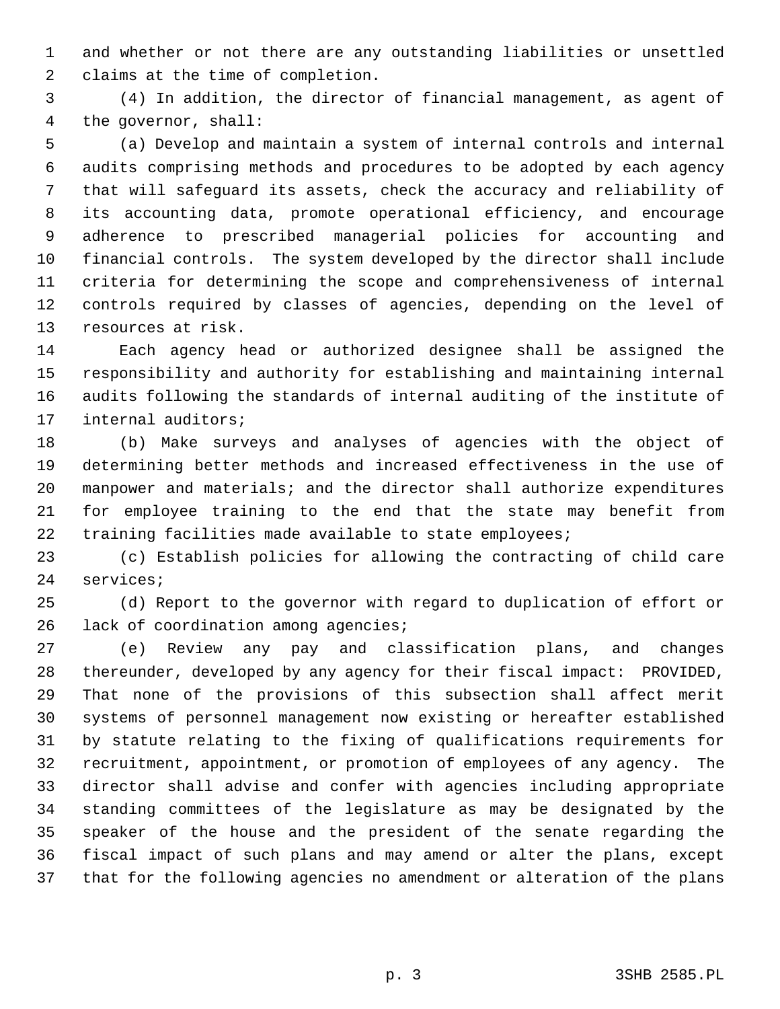1 and whether or not there are any outstanding liabilities or unsettled 2 claims at the time of completion.

 3 (4) In addition, the director of financial management, as agent of 4 the governor, shall:

 5 (a) Develop and maintain a system of internal controls and internal 6 audits comprising methods and procedures to be adopted by each agency 7 that will safeguard its assets, check the accuracy and reliability of 8 its accounting data, promote operational efficiency, and encourage 9 adherence to prescribed managerial policies for accounting and 10 financial controls. The system developed by the director shall include 11 criteria for determining the scope and comprehensiveness of internal 12 controls required by classes of agencies, depending on the level of 13 resources at risk.

14 Each agency head or authorized designee shall be assigned the 15 responsibility and authority for establishing and maintaining internal 16 audits following the standards of internal auditing of the institute of 17 internal auditors;

18 (b) Make surveys and analyses of agencies with the object of 19 determining better methods and increased effectiveness in the use of 20 manpower and materials; and the director shall authorize expenditures 21 for employee training to the end that the state may benefit from 22 training facilities made available to state employees;

23 (c) Establish policies for allowing the contracting of child care 24 services;

25 (d) Report to the governor with regard to duplication of effort or 26 lack of coordination among agencies;

27 (e) Review any pay and classification plans, and changes 28 thereunder, developed by any agency for their fiscal impact: PROVIDED, 29 That none of the provisions of this subsection shall affect merit 30 systems of personnel management now existing or hereafter established 31 by statute relating to the fixing of qualifications requirements for 32 recruitment, appointment, or promotion of employees of any agency. The 33 director shall advise and confer with agencies including appropriate 34 standing committees of the legislature as may be designated by the 35 speaker of the house and the president of the senate regarding the 36 fiscal impact of such plans and may amend or alter the plans, except 37 that for the following agencies no amendment or alteration of the plans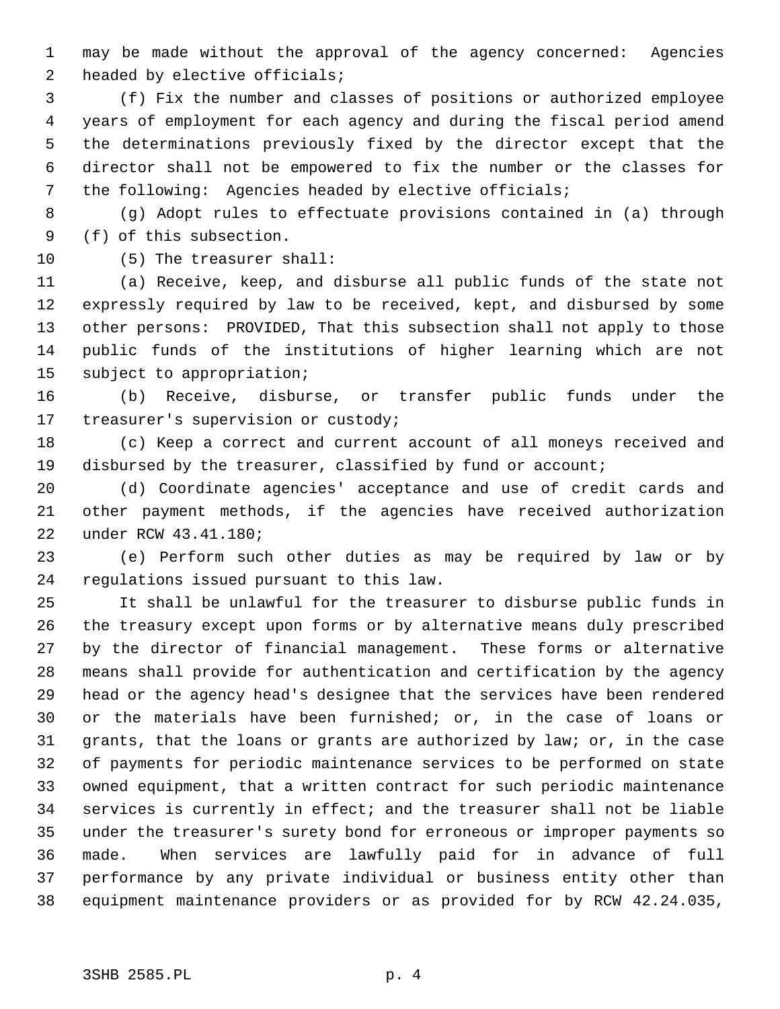1 may be made without the approval of the agency concerned: Agencies 2 headed by elective officials;

 3 (f) Fix the number and classes of positions or authorized employee 4 years of employment for each agency and during the fiscal period amend 5 the determinations previously fixed by the director except that the 6 director shall not be empowered to fix the number or the classes for 7 the following: Agencies headed by elective officials;

 8 (g) Adopt rules to effectuate provisions contained in (a) through 9 (f) of this subsection.

10 (5) The treasurer shall:

11 (a) Receive, keep, and disburse all public funds of the state not 12 expressly required by law to be received, kept, and disbursed by some 13 other persons: PROVIDED, That this subsection shall not apply to those 14 public funds of the institutions of higher learning which are not 15 subject to appropriation;

16 (b) Receive, disburse, or transfer public funds under the 17 treasurer's supervision or custody;

18 (c) Keep a correct and current account of all moneys received and 19 disbursed by the treasurer, classified by fund or account;

20 (d) Coordinate agencies' acceptance and use of credit cards and 21 other payment methods, if the agencies have received authorization 22 under RCW 43.41.180;

23 (e) Perform such other duties as may be required by law or by 24 regulations issued pursuant to this law.

25 It shall be unlawful for the treasurer to disburse public funds in 26 the treasury except upon forms or by alternative means duly prescribed 27 by the director of financial management. These forms or alternative 28 means shall provide for authentication and certification by the agency 29 head or the agency head's designee that the services have been rendered 30 or the materials have been furnished; or, in the case of loans or 31 grants, that the loans or grants are authorized by law; or, in the case 32 of payments for periodic maintenance services to be performed on state 33 owned equipment, that a written contract for such periodic maintenance 34 services is currently in effect; and the treasurer shall not be liable 35 under the treasurer's surety bond for erroneous or improper payments so 36 made. When services are lawfully paid for in advance of full 37 performance by any private individual or business entity other than 38 equipment maintenance providers or as provided for by RCW 42.24.035,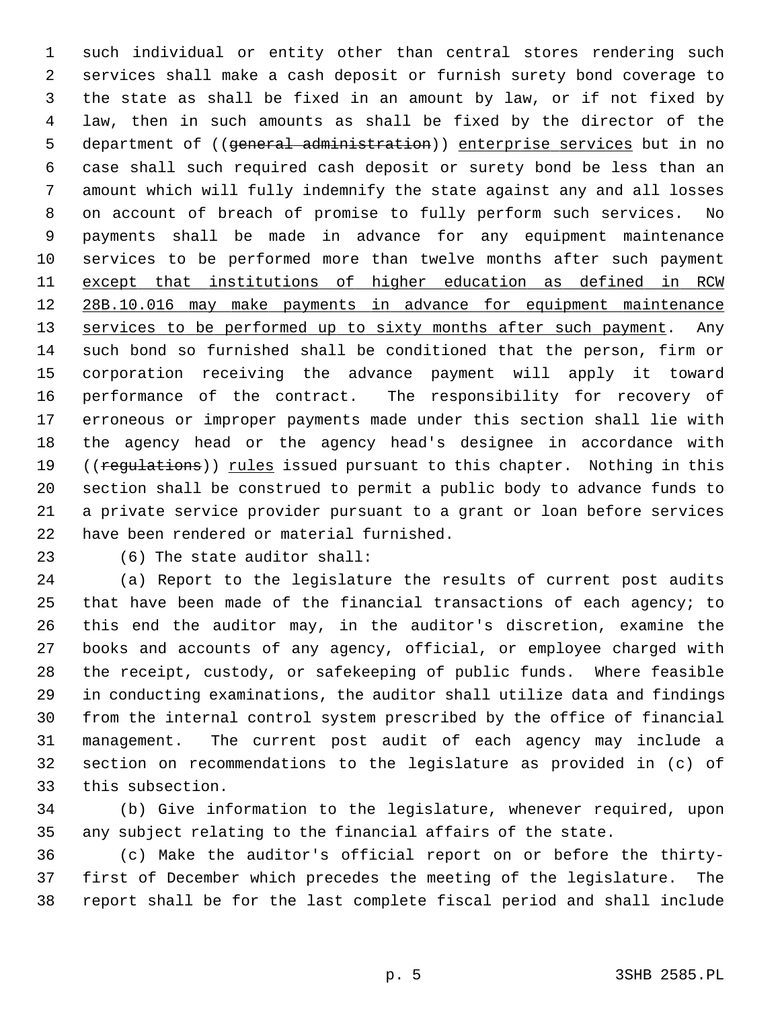1 such individual or entity other than central stores rendering such 2 services shall make a cash deposit or furnish surety bond coverage to 3 the state as shall be fixed in an amount by law, or if not fixed by 4 law, then in such amounts as shall be fixed by the director of the 5 department of ((general administration)) enterprise services but in no 6 case shall such required cash deposit or surety bond be less than an 7 amount which will fully indemnify the state against any and all losses 8 on account of breach of promise to fully perform such services. No 9 payments shall be made in advance for any equipment maintenance 10 services to be performed more than twelve months after such payment 11 except that institutions of higher education as defined in RCW 12 28B.10.016 may make payments in advance for equipment maintenance 13 services to be performed up to sixty months after such payment. Any 14 such bond so furnished shall be conditioned that the person, firm or 15 corporation receiving the advance payment will apply it toward 16 performance of the contract. The responsibility for recovery of 17 erroneous or improper payments made under this section shall lie with 18 the agency head or the agency head's designee in accordance with 19 ((regulations)) rules issued pursuant to this chapter. Nothing in this 20 section shall be construed to permit a public body to advance funds to 21 a private service provider pursuant to a grant or loan before services 22 have been rendered or material furnished.

## 23 (6) The state auditor shall:

24 (a) Report to the legislature the results of current post audits 25 that have been made of the financial transactions of each agency; to 26 this end the auditor may, in the auditor's discretion, examine the 27 books and accounts of any agency, official, or employee charged with 28 the receipt, custody, or safekeeping of public funds. Where feasible 29 in conducting examinations, the auditor shall utilize data and findings 30 from the internal control system prescribed by the office of financial 31 management. The current post audit of each agency may include a 32 section on recommendations to the legislature as provided in (c) of 33 this subsection.

34 (b) Give information to the legislature, whenever required, upon 35 any subject relating to the financial affairs of the state.

36 (c) Make the auditor's official report on or before the thirty-37 first of December which precedes the meeting of the legislature. The 38 report shall be for the last complete fiscal period and shall include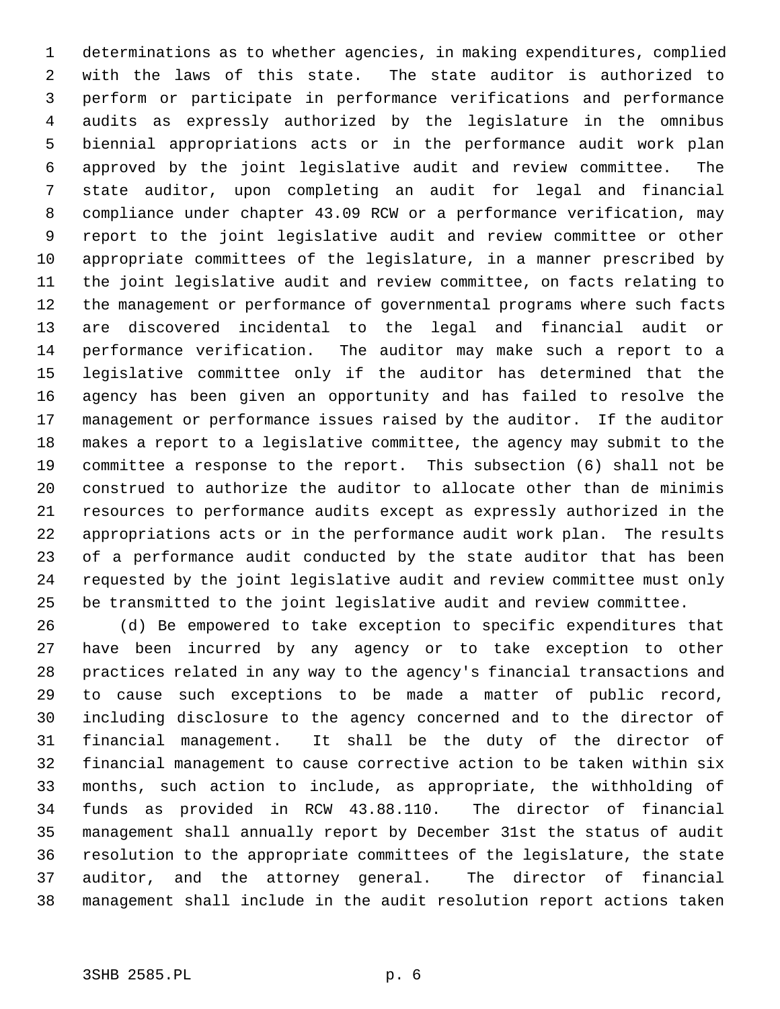1 determinations as to whether agencies, in making expenditures, complied 2 with the laws of this state. The state auditor is authorized to 3 perform or participate in performance verifications and performance 4 audits as expressly authorized by the legislature in the omnibus 5 biennial appropriations acts or in the performance audit work plan 6 approved by the joint legislative audit and review committee. The 7 state auditor, upon completing an audit for legal and financial 8 compliance under chapter 43.09 RCW or a performance verification, may 9 report to the joint legislative audit and review committee or other 10 appropriate committees of the legislature, in a manner prescribed by 11 the joint legislative audit and review committee, on facts relating to 12 the management or performance of governmental programs where such facts 13 are discovered incidental to the legal and financial audit or 14 performance verification. The auditor may make such a report to a 15 legislative committee only if the auditor has determined that the 16 agency has been given an opportunity and has failed to resolve the 17 management or performance issues raised by the auditor. If the auditor 18 makes a report to a legislative committee, the agency may submit to the 19 committee a response to the report. This subsection (6) shall not be 20 construed to authorize the auditor to allocate other than de minimis 21 resources to performance audits except as expressly authorized in the 22 appropriations acts or in the performance audit work plan. The results 23 of a performance audit conducted by the state auditor that has been 24 requested by the joint legislative audit and review committee must only 25 be transmitted to the joint legislative audit and review committee.

26 (d) Be empowered to take exception to specific expenditures that 27 have been incurred by any agency or to take exception to other 28 practices related in any way to the agency's financial transactions and 29 to cause such exceptions to be made a matter of public record, 30 including disclosure to the agency concerned and to the director of 31 financial management. It shall be the duty of the director of 32 financial management to cause corrective action to be taken within six 33 months, such action to include, as appropriate, the withholding of 34 funds as provided in RCW 43.88.110. The director of financial 35 management shall annually report by December 31st the status of audit 36 resolution to the appropriate committees of the legislature, the state 37 auditor, and the attorney general. The director of financial 38 management shall include in the audit resolution report actions taken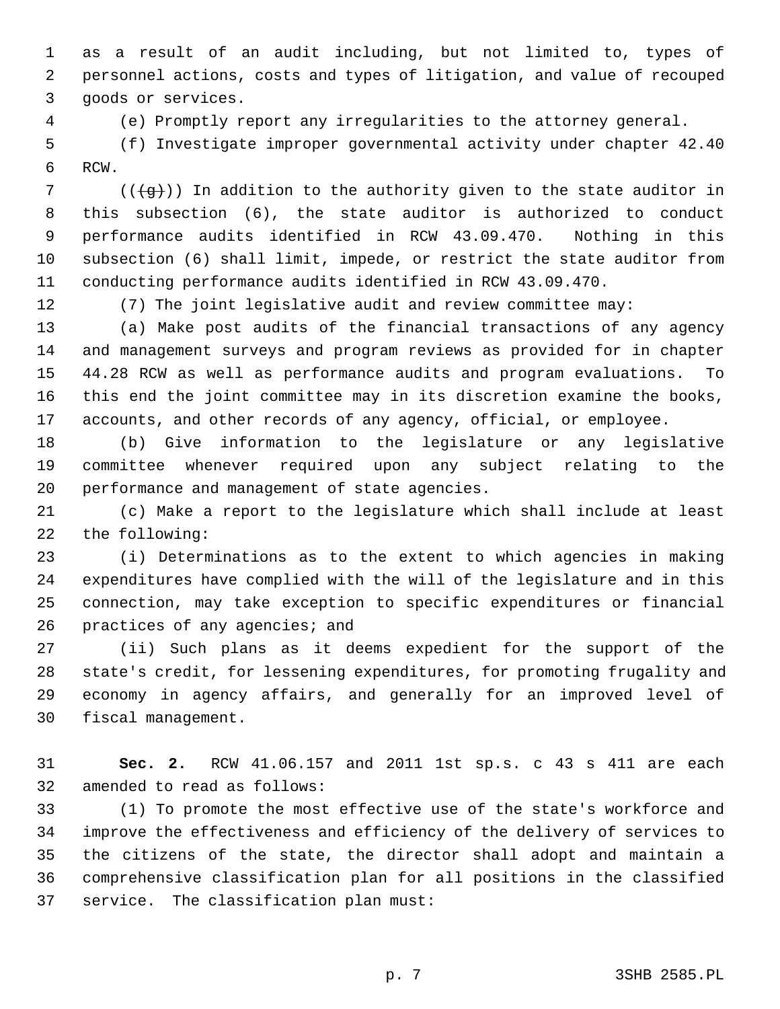1 as a result of an audit including, but not limited to, types of 2 personnel actions, costs and types of litigation, and value of recouped 3 goods or services.

4 (e) Promptly report any irregularities to the attorney general.

 5 (f) Investigate improper governmental activity under chapter 42.40 6 RCW.

7 ( $((+q))$ ) In addition to the authority given to the state auditor in 8 this subsection (6), the state auditor is authorized to conduct 9 performance audits identified in RCW 43.09.470. Nothing in this 10 subsection (6) shall limit, impede, or restrict the state auditor from 11 conducting performance audits identified in RCW 43.09.470.

12 (7) The joint legislative audit and review committee may:

13 (a) Make post audits of the financial transactions of any agency 14 and management surveys and program reviews as provided for in chapter 15 44.28 RCW as well as performance audits and program evaluations. To 16 this end the joint committee may in its discretion examine the books, 17 accounts, and other records of any agency, official, or employee.

18 (b) Give information to the legislature or any legislative 19 committee whenever required upon any subject relating to the 20 performance and management of state agencies.

21 (c) Make a report to the legislature which shall include at least 22 the following:

23 (i) Determinations as to the extent to which agencies in making 24 expenditures have complied with the will of the legislature and in this 25 connection, may take exception to specific expenditures or financial 26 practices of any agencies; and

27 (ii) Such plans as it deems expedient for the support of the 28 state's credit, for lessening expenditures, for promoting frugality and 29 economy in agency affairs, and generally for an improved level of 30 fiscal management.

31 **Sec. 2.** RCW 41.06.157 and 2011 1st sp.s. c 43 s 411 are each 32 amended to read as follows:

33 (1) To promote the most effective use of the state's workforce and 34 improve the effectiveness and efficiency of the delivery of services to 35 the citizens of the state, the director shall adopt and maintain a 36 comprehensive classification plan for all positions in the classified 37 service. The classification plan must: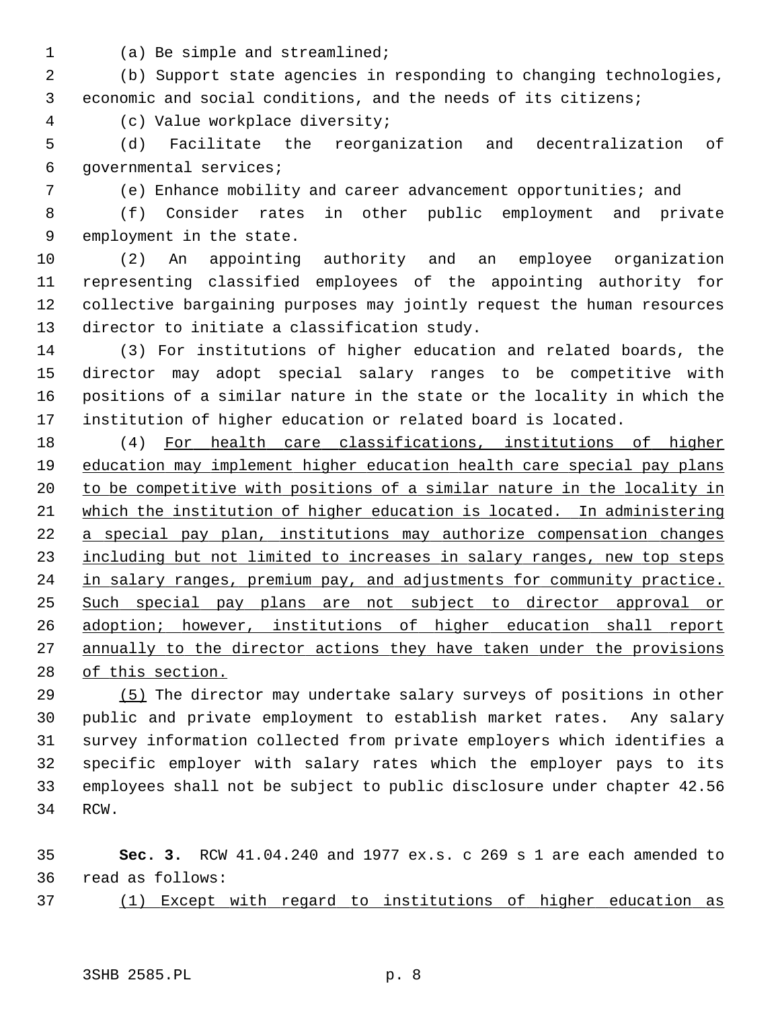1 (a) Be simple and streamlined;

 2 (b) Support state agencies in responding to changing technologies, 3 economic and social conditions, and the needs of its citizens;

4 (c) Value workplace diversity;

 5 (d) Facilitate the reorganization and decentralization of 6 governmental services;

7 (e) Enhance mobility and career advancement opportunities; and

 8 (f) Consider rates in other public employment and private 9 employment in the state.

10 (2) An appointing authority and an employee organization 11 representing classified employees of the appointing authority for 12 collective bargaining purposes may jointly request the human resources 13 director to initiate a classification study.

14 (3) For institutions of higher education and related boards, the 15 director may adopt special salary ranges to be competitive with 16 positions of a similar nature in the state or the locality in which the 17 institution of higher education or related board is located.

18 (4) For health care classifications, institutions of higher education may implement higher education health care special pay plans to be competitive with positions of a similar nature in the locality in 21 which the institution of higher education is located. In administering a special pay plan, institutions may authorize compensation changes including but not limited to increases in salary ranges, new top steps in salary ranges, premium pay, and adjustments for community practice. Such special pay plans are not subject to director approval or adoption; however, institutions of higher education shall report annually to the director actions they have taken under the provisions of this section.

29 (5) The director may undertake salary surveys of positions in other 30 public and private employment to establish market rates. Any salary 31 survey information collected from private employers which identifies a 32 specific employer with salary rates which the employer pays to its 33 employees shall not be subject to public disclosure under chapter 42.56 34 RCW.

35 **Sec. 3.** RCW 41.04.240 and 1977 ex.s. c 269 s 1 are each amended to 36 read as follows:

37 (1) Except with regard to institutions of higher education as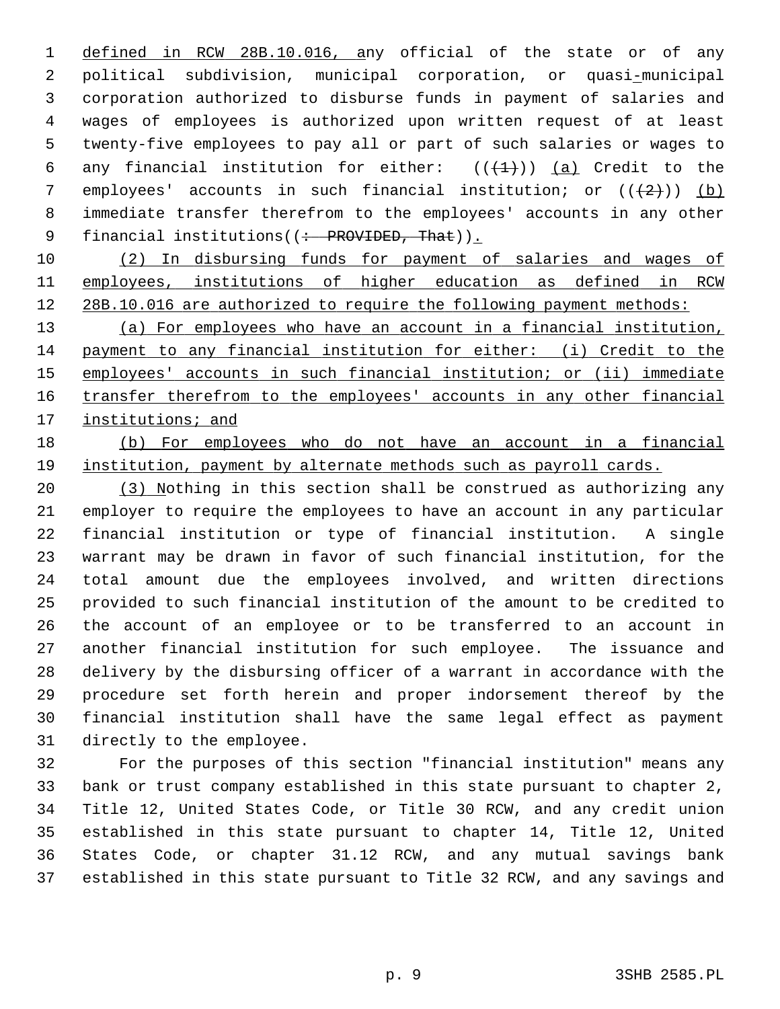1 defined in RCW 28B.10.016, any official of the state or of any 2 political subdivision, municipal corporation, or quasi-municipal 3 corporation authorized to disburse funds in payment of salaries and 4 wages of employees is authorized upon written request of at least 5 twenty-five employees to pay all or part of such salaries or wages to 6 any financial institution for either:  $((+1))$  (a) Credit to the 7 employees' accounts in such financial institution; or  $((+2)^2)$  (b) 8 immediate transfer therefrom to the employees' accounts in any other 9 financial institutions((: PROVIDED, That)).

10 (2) In disbursing funds for payment of salaries and wages of 11 employees, institutions of higher education as defined in RCW 12 28B.10.016 are authorized to require the following payment methods:

 (a) For employees who have an account in a financial institution, payment to any financial institution for either: (i) Credit to the 15 employees' accounts in such financial institution; or (ii) immediate transfer therefrom to the employees' accounts in any other financial institutions; and

18 (b) For employees who do not have an account in a financial 19 institution, payment by alternate methods such as payroll cards.

20 (3) Nothing in this section shall be construed as authorizing any 21 employer to require the employees to have an account in any particular 22 financial institution or type of financial institution. A single 23 warrant may be drawn in favor of such financial institution, for the 24 total amount due the employees involved, and written directions 25 provided to such financial institution of the amount to be credited to 26 the account of an employee or to be transferred to an account in 27 another financial institution for such employee. The issuance and 28 delivery by the disbursing officer of a warrant in accordance with the 29 procedure set forth herein and proper indorsement thereof by the 30 financial institution shall have the same legal effect as payment 31 directly to the employee.

32 For the purposes of this section "financial institution" means any 33 bank or trust company established in this state pursuant to chapter 2, 34 Title 12, United States Code, or Title 30 RCW, and any credit union 35 established in this state pursuant to chapter 14, Title 12, United 36 States Code, or chapter 31.12 RCW, and any mutual savings bank 37 established in this state pursuant to Title 32 RCW, and any savings and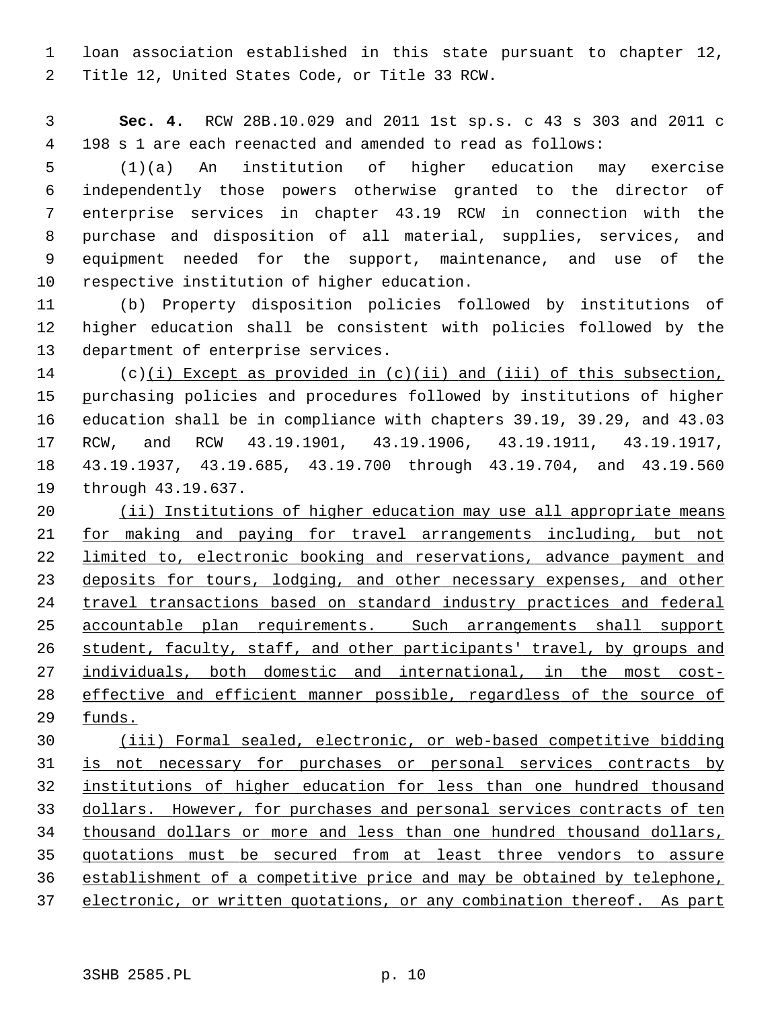1 loan association established in this state pursuant to chapter 12, 2 Title 12, United States Code, or Title 33 RCW.

 3 **Sec. 4.** RCW 28B.10.029 and 2011 1st sp.s. c 43 s 303 and 2011 c 4 198 s 1 are each reenacted and amended to read as follows:

 5 (1)(a) An institution of higher education may exercise 6 independently those powers otherwise granted to the director of 7 enterprise services in chapter 43.19 RCW in connection with the 8 purchase and disposition of all material, supplies, services, and 9 equipment needed for the support, maintenance, and use of the 10 respective institution of higher education.

11 (b) Property disposition policies followed by institutions of 12 higher education shall be consistent with policies followed by the 13 department of enterprise services.

14 (c)(i) Except as provided in (c)(ii) and (iii) of this subsection, 15 purchasing policies and procedures followed by institutions of higher 16 education shall be in compliance with chapters 39.19, 39.29, and 43.03 17 RCW, and RCW 43.19.1901, 43.19.1906, 43.19.1911, 43.19.1917, 18 43.19.1937, 43.19.685, 43.19.700 through 43.19.704, and 43.19.560 19 through 43.19.637.

 (ii) Institutions of higher education may use all appropriate means for making and paying for travel arrangements including, but not **limited to, electronic booking and reservations, advance payment and**  deposits for tours, lodging, and other necessary expenses, and other travel transactions based on standard industry practices and federal accountable plan requirements. Such arrangements shall support student, faculty, staff, and other participants' travel, by groups and individuals, both domestic and international, in the most cost- effective and efficient manner possible, regardless of the source of 29 funds.

 (iii) Formal sealed, electronic, or web-based competitive bidding is not necessary for purchases or personal services contracts by institutions of higher education for less than one hundred thousand dollars. However, for purchases and personal services contracts of ten thousand dollars or more and less than one hundred thousand dollars, quotations must be secured from at least three vendors to assure establishment of a competitive price and may be obtained by telephone, electronic, or written quotations, or any combination thereof. As part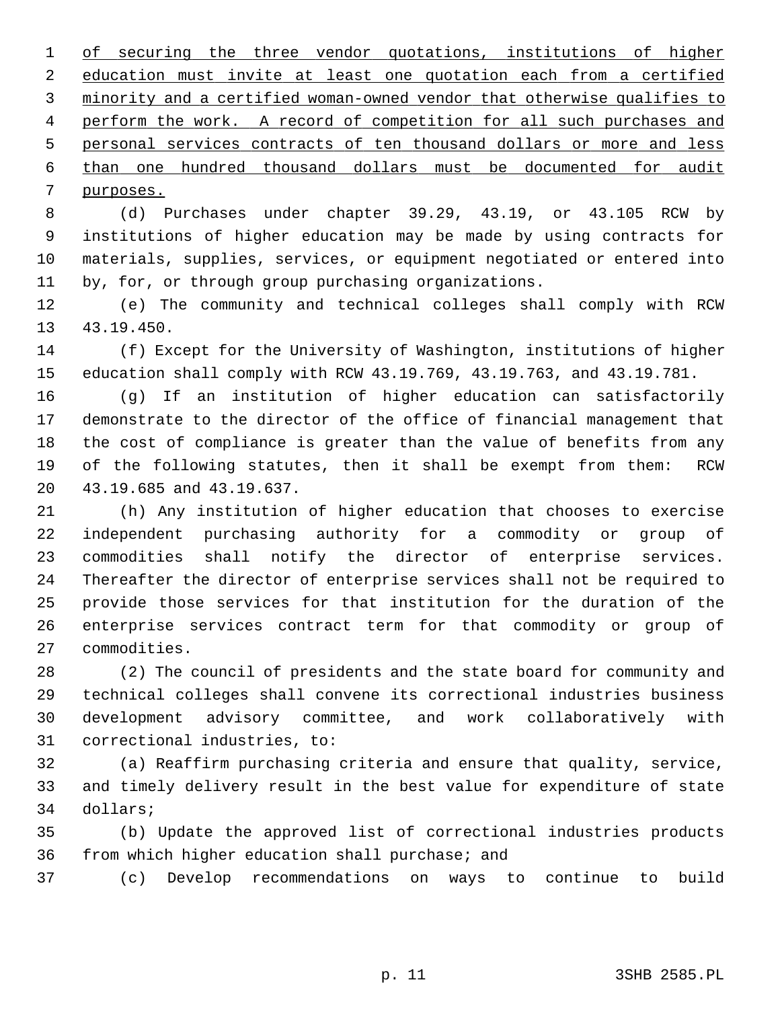of securing the three vendor quotations, institutions of higher education must invite at least one quotation each from a certified minority and a certified woman-owned vendor that otherwise qualifies to perform the work. A record of competition for all such purchases and personal services contracts of ten thousand dollars or more and less than one hundred thousand dollars must be documented for audit purposes.

 8 (d) Purchases under chapter 39.29, 43.19, or 43.105 RCW by 9 institutions of higher education may be made by using contracts for 10 materials, supplies, services, or equipment negotiated or entered into 11 by, for, or through group purchasing organizations.

12 (e) The community and technical colleges shall comply with RCW 13 43.19.450.

14 (f) Except for the University of Washington, institutions of higher 15 education shall comply with RCW 43.19.769, 43.19.763, and 43.19.781.

16 (g) If an institution of higher education can satisfactorily 17 demonstrate to the director of the office of financial management that 18 the cost of compliance is greater than the value of benefits from any 19 of the following statutes, then it shall be exempt from them: RCW 20 43.19.685 and 43.19.637.

21 (h) Any institution of higher education that chooses to exercise 22 independent purchasing authority for a commodity or group of 23 commodities shall notify the director of enterprise services. 24 Thereafter the director of enterprise services shall not be required to 25 provide those services for that institution for the duration of the 26 enterprise services contract term for that commodity or group of 27 commodities.

28 (2) The council of presidents and the state board for community and 29 technical colleges shall convene its correctional industries business 30 development advisory committee, and work collaboratively with 31 correctional industries, to:

32 (a) Reaffirm purchasing criteria and ensure that quality, service, 33 and timely delivery result in the best value for expenditure of state 34 dollars;

35 (b) Update the approved list of correctional industries products 36 from which higher education shall purchase; and

37 (c) Develop recommendations on ways to continue to build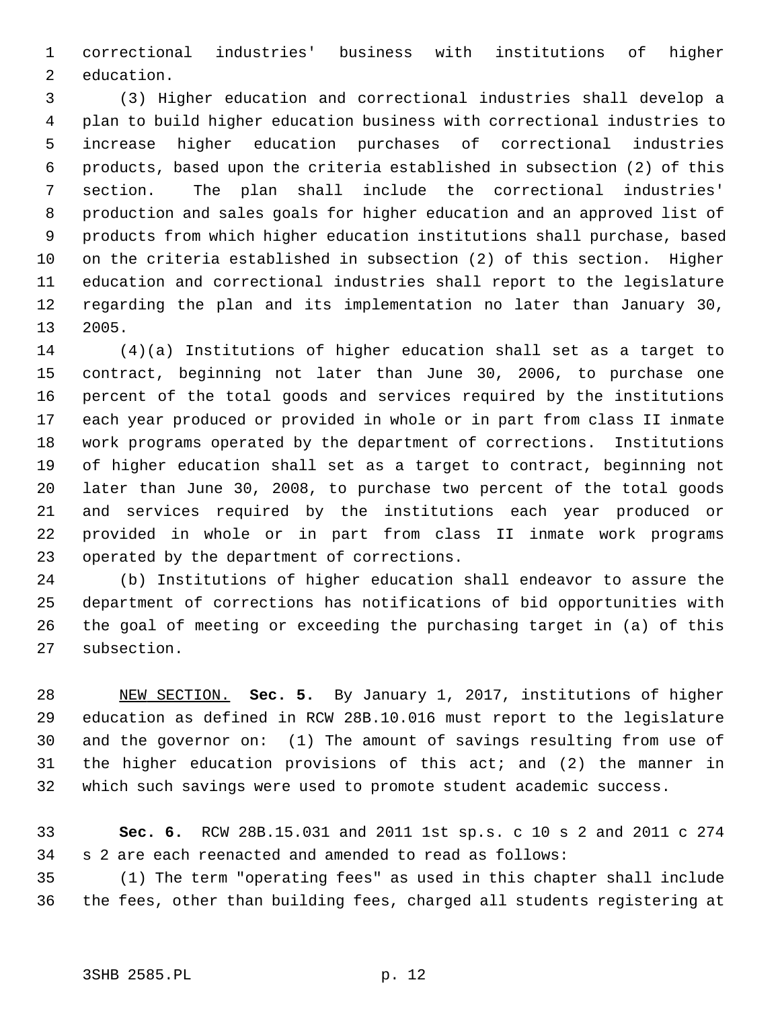1 correctional industries' business with institutions of higher 2 education.

 3 (3) Higher education and correctional industries shall develop a 4 plan to build higher education business with correctional industries to 5 increase higher education purchases of correctional industries 6 products, based upon the criteria established in subsection (2) of this 7 section. The plan shall include the correctional industries' 8 production and sales goals for higher education and an approved list of 9 products from which higher education institutions shall purchase, based 10 on the criteria established in subsection (2) of this section. Higher 11 education and correctional industries shall report to the legislature 12 regarding the plan and its implementation no later than January 30, 13 2005.

14 (4)(a) Institutions of higher education shall set as a target to 15 contract, beginning not later than June 30, 2006, to purchase one 16 percent of the total goods and services required by the institutions 17 each year produced or provided in whole or in part from class II inmate 18 work programs operated by the department of corrections. Institutions 19 of higher education shall set as a target to contract, beginning not 20 later than June 30, 2008, to purchase two percent of the total goods 21 and services required by the institutions each year produced or 22 provided in whole or in part from class II inmate work programs 23 operated by the department of corrections.

24 (b) Institutions of higher education shall endeavor to assure the 25 department of corrections has notifications of bid opportunities with 26 the goal of meeting or exceeding the purchasing target in (a) of this 27 subsection.

28 NEW SECTION. **Sec. 5.** By January 1, 2017, institutions of higher 29 education as defined in RCW 28B.10.016 must report to the legislature 30 and the governor on: (1) The amount of savings resulting from use of 31 the higher education provisions of this act; and (2) the manner in 32 which such savings were used to promote student academic success.

33 **Sec. 6.** RCW 28B.15.031 and 2011 1st sp.s. c 10 s 2 and 2011 c 274 34 s 2 are each reenacted and amended to read as follows:

35 (1) The term "operating fees" as used in this chapter shall include 36 the fees, other than building fees, charged all students registering at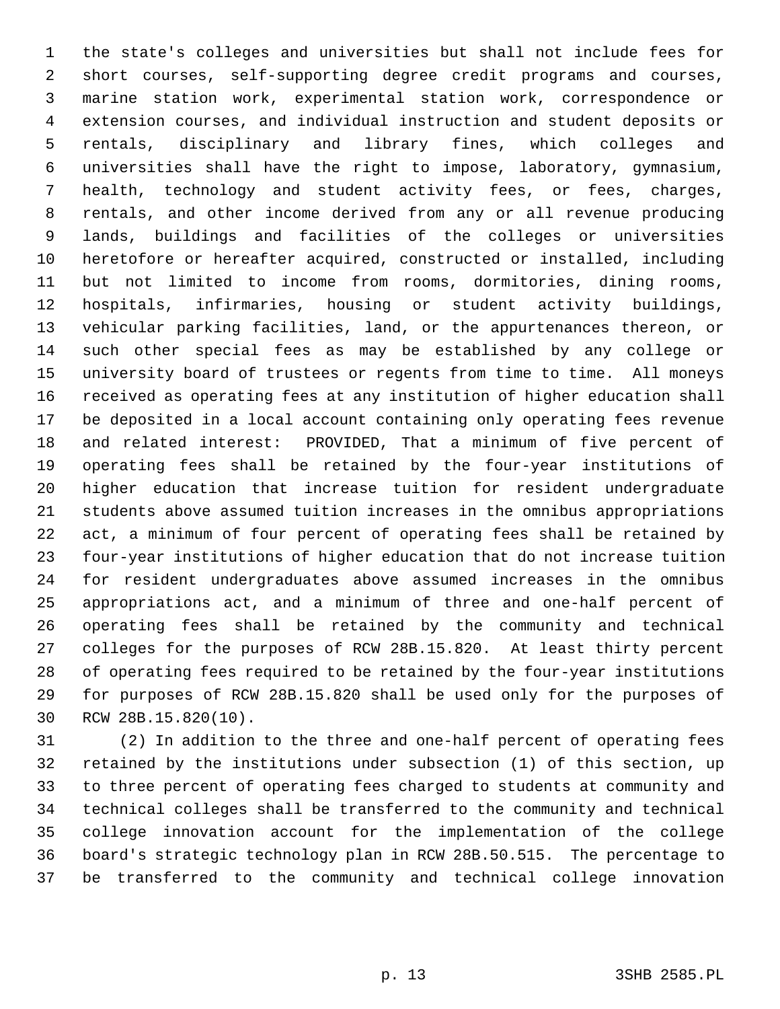1 the state's colleges and universities but shall not include fees for 2 short courses, self-supporting degree credit programs and courses, 3 marine station work, experimental station work, correspondence or 4 extension courses, and individual instruction and student deposits or 5 rentals, disciplinary and library fines, which colleges and 6 universities shall have the right to impose, laboratory, gymnasium, 7 health, technology and student activity fees, or fees, charges, 8 rentals, and other income derived from any or all revenue producing 9 lands, buildings and facilities of the colleges or universities 10 heretofore or hereafter acquired, constructed or installed, including 11 but not limited to income from rooms, dormitories, dining rooms, 12 hospitals, infirmaries, housing or student activity buildings, 13 vehicular parking facilities, land, or the appurtenances thereon, or 14 such other special fees as may be established by any college or 15 university board of trustees or regents from time to time. All moneys 16 received as operating fees at any institution of higher education shall 17 be deposited in a local account containing only operating fees revenue 18 and related interest: PROVIDED, That a minimum of five percent of 19 operating fees shall be retained by the four-year institutions of 20 higher education that increase tuition for resident undergraduate 21 students above assumed tuition increases in the omnibus appropriations 22 act, a minimum of four percent of operating fees shall be retained by 23 four-year institutions of higher education that do not increase tuition 24 for resident undergraduates above assumed increases in the omnibus 25 appropriations act, and a minimum of three and one-half percent of 26 operating fees shall be retained by the community and technical 27 colleges for the purposes of RCW 28B.15.820. At least thirty percent 28 of operating fees required to be retained by the four-year institutions 29 for purposes of RCW 28B.15.820 shall be used only for the purposes of 30 RCW 28B.15.820(10).

31 (2) In addition to the three and one-half percent of operating fees 32 retained by the institutions under subsection (1) of this section, up 33 to three percent of operating fees charged to students at community and 34 technical colleges shall be transferred to the community and technical 35 college innovation account for the implementation of the college 36 board's strategic technology plan in RCW 28B.50.515. The percentage to 37 be transferred to the community and technical college innovation